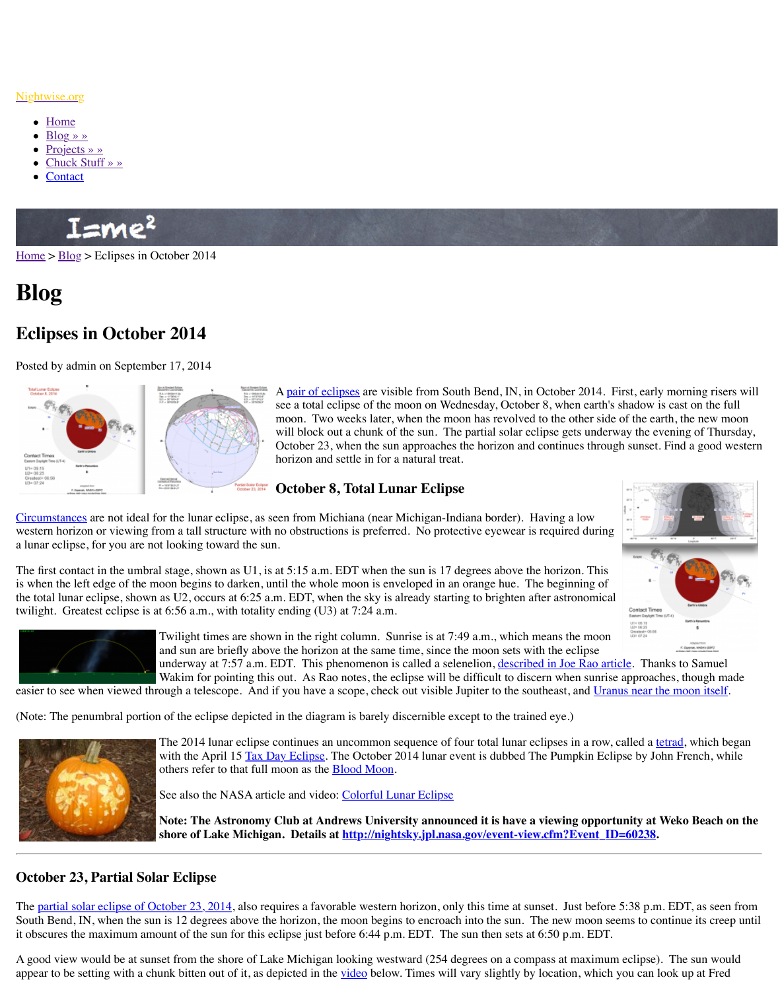

A <u>pair of eclipses</u> are visible from Sou see a total eclipse of the moon on Wed moon. Two weeks later, when the moon will block out a chunk of the sun. The October 23, when the sun approaches to horizon and settle in for a natural treat.

## **[October 8, Total Lunar Eclipse](http://www.nightwise.org/)**

Circu[mstanc](http://www.nightwise.org/)es are not ideal for the lunar eclipse, as seen from Michiana (near Michigan-Ind weste[rn horizon](http://www.nightwise.org/blog/) or viewing from a tall structure with no obstructions is preferred. No protective eye a luna[r eclipse, fo](http://www.nightwise.org/projects/)[r you](http://www.nightwise.org/chuck-stuff/) are not looking toward the sun.

The fi[rst conta](http://www.nightwise.org/contact/)ct in the umbral stage, shown as U1, is at 5:15 a.m. EDT when the sun is 17 degrees above the horizon. The horizon as  $17$  degrees as  $17$  degrees as  $17$  degrees as  $17$  degrees as  $17$  degrees as  $17$  deg is when the left edge of the moon begins to darken, until the whole moon is enveloped in an the total lunar eclipse, shown as U2, occurs at  $6:25$  a.m. EDT, when the sky is already starting twilight. Greatest eclipse is at 6:56 a.m., with totality ending (U3) at 7:24 a.m.



Twilight times are shown in the right column. Sunrise is at 7:4 and sun are briefly above the horizon at the same time, since the moon sets with the sets with the same the sets with the same the same sets and set of the same the same sets and sum sets and sum sets and sum sets and sum underway at 7:57 a.m. EDT. This phenomenon is called a sele Wakim for pointing this out. As Rao notes, the eclipse will be

easier to see when viewed through a telescope. And if you have a scope, check out visible J

(Note: The penumbral portion of the eclipse depicted in the diagram is barely discernible exe.)



The 2014 lunar eclipse continues an uncommon sequence of four total lunar eclipse continues an uncommon sequence of fo with the April 15 Tax Day Eclipse. The October 2014 lunar event others refer to that full moon as the **Blood Moon**.

See also the NASA article and video: Colorful Lunar Eclipse

**Note: The Astronomy Club at Andrews University announe** shore of Lake Michigan. Details at **http://nightsky.jpl.nasa** 

# **October 23, Partial Solar Eclipse**

[The partial sola](http://eclipse.gsfc.nasa.gov/OH/OHfigures/OH2014-Fig03.pdf)r eclipse of October 23, 2014, also requires a favorable western horizon, only South Bend, IN, when the sun is 12 degrees above the horizon, the moon begins to encroach it obscures the maximum amount of the sun for this eclipse just before 6:44 p.m. EDT. The

A good view would be at sunset from the shore of Lake Michigan looking westward (254 degrees). appear to be setting with a chunk bitten out of it, as depicted in the video below. Times will